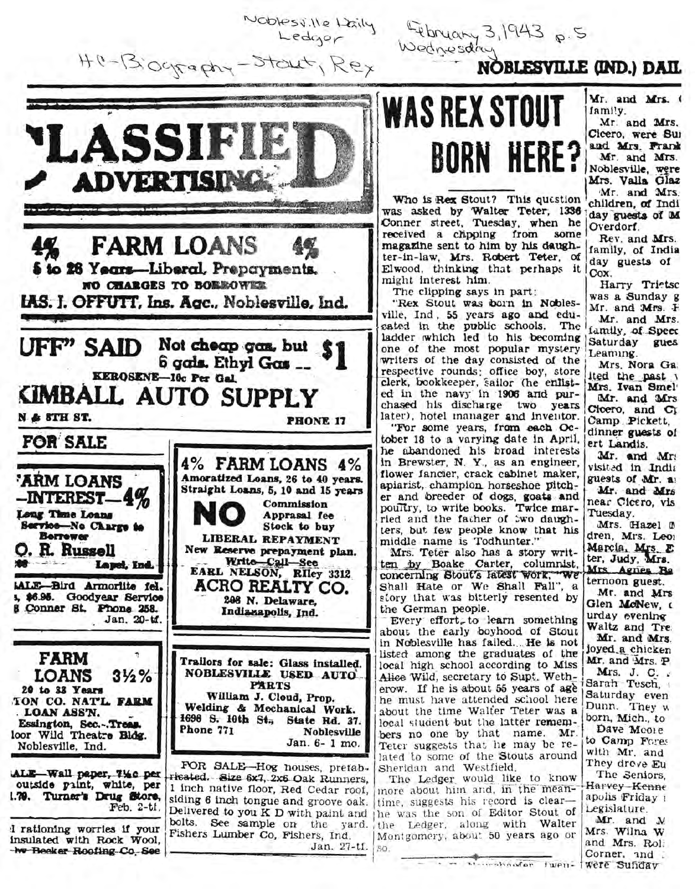Noblessille Laily<br>Ledger

Exprimery 3, 1943 p.5



## **NOBLESVILLE (IND.) DAIL**

some

The

BORN HERE?

Mr. and Mrs. ( family.

Mr. and Mrs. Cicero, were Sur and Mrs. Frank Mr. and Mrs. Noblesville, were Mrs. Valla Glaz Mr. and Mrs.

children, of Indi day guests of M Overdorf.

Rev. and Mrs. family, of India day guests of Cox.

Harry Trietsc was a Sunday g Mr. and Mrs. F Mr. and Mrs. family, of Speec Saturday gues Leaming.

Mrs. Nora Ga. ited the past 1 Mrs. Ivan Smel Mr. and Mrs Cloero, and CI Camp Pickett. dinner guests of ert Landis.

Mr. and Mr. visited in India guests of Mr. a. Mr. and Mrs near Cicero, vis Tuesday.

Mrs. Hazel 0 dren, Mrs. Leo: Marcia, Mrs. E ter, Judy, Mrs. Mrs Agnes Re ternoon guest.

Mr. and Mrs Glen McNew, a urday evening Waltz and Tre. Mr. and Mrs. loyed a chicken Mr. and Mrs. P

Mrs. J. C. . Sarah Tesch. Saturday even Dunn. They w born, Mich., to Dave Moore to Camp Fores with Mr. and They drove Eu The Seniors. Harvey-Kenne apolis Friday 1 Legislature.

Mr. and N. Mrs. Wilna W and Mrs. Rol. Corner, and . . Missourchooder twen- Were Sunday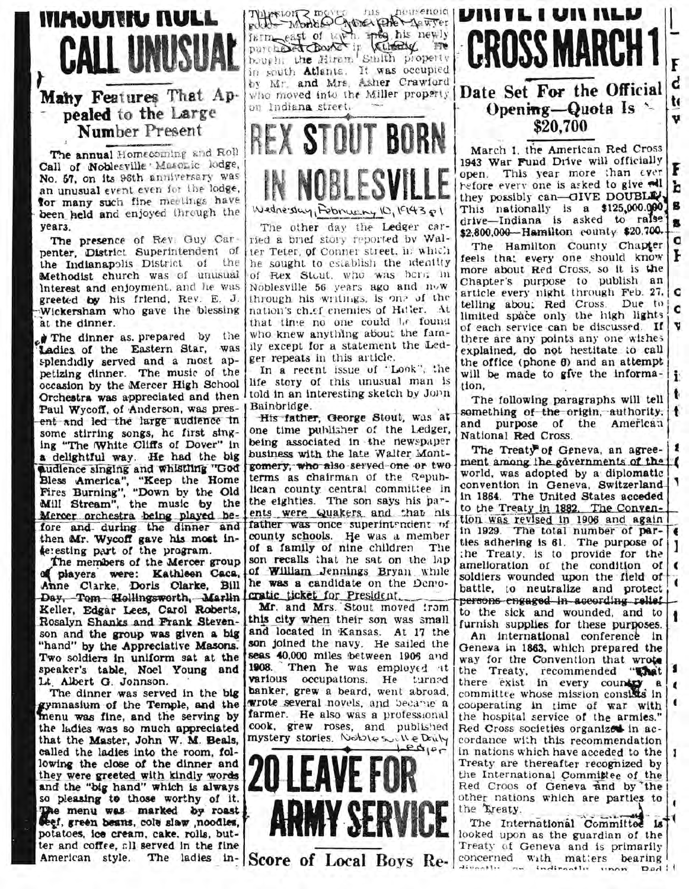## **ITIMOUTTIU NULL CALL UNUSU**

Many Features That Appealed to the Large Number Present

The annual Homecoming and Roll Call of Noblesville Masonic lodge, No. 57, on its 96th anniversary was an unusual event even for the lodge. for many such fine meetings have been held and enjoyed through the  $vears.$ 

The presence of Rev. Guy Carpenter, District Superintendent of the Indianapolis District of  $the$ Methodist church was of unusual Interest and enjoyment, and he was greeted by his friend, Rev. E. J. Wickersham who gave the blessing at the dinner.

The dinner as prepared by the Ladies of the Eastern Star, was splendidly served and a most appetizing dinner. The music of the occasion by the Mercer High School Orchestra was appreciated and then I told in an interesting sketch by John Paul Wycoff, of Anderson, was present and led the large audience in some stirring songs, he first singing "The White Cliffs of Dover" in a delightful way. He had the big audience singing and whistling "God Bless America", "Keep the Home<br>Fires Burning", "Down by the Old Mill Stream", the music by the Mercer orchestra being played before and during the dinner and then Mr. Wycoff gave his most interesting part of the program.

The members of the Mercer group of players were: Kathleen Caca, Anne Clarke, Doris Clarke, Bill Day, Tom Hollingsworth, Marlin Keller, Edgar Lees, Carol Roberts, Rosalyn Shanks and Frank Stevenson and the group was given a big "hand" by the Appreciative Masons. Two soldiers in uniform sat at the speaker's table, Noel Young and Lt. Albert G. Jonnson.

The dinner was served in the big gymnasium of the Temple, and the<br>menu was fine, and the serving by the ladies was so much appreciated that the Master, John W. M. Beals, called the ladies into the room, following the close of the dinner and they were greeted with kindly words and the "big hand" which is always so pleasing to those worthy of it. The menu was marked by roast Seef, green beans, cole slaw , noodles, potatoes, ice cream, cake, rolls, butter and coffee, all served in the fine

To the Monday of the pourse not posted to the wave for the street for the street of the street of the street of the street of the street of the street of the street of the street of the street of the street of the street o by Mr. and Mrs. Asher Crawford on Indiana street.



The other day the Ledger carried a brief story reported by Walter Teter, of Conner street, in which he sought to establish the identity of Rex Stout, who was berg in Noblesville 56 years ago and now through his writings, is one of the nation's ch.ef enemies of Hitler. At that time no one could be found who knew anything about the family except for a statement the Ledger repeats in this article.

In a recent issue of "Lonk", the life story of this unusual man is Bainbridge.

His father, George Stout, was at one time publisher of the Ledger, being associated in the newspaper business with the late Walter Montgomery, who also served one or two terms as chairman of the Republican county central committee in the eighties. The son says his parents were Quakers and that his father was once superintendent of county schools. He was a member of a family of nine children  $T$ lie son recalls that he sat on the lap of William Jennings Bryan while he was a candidate on the Democratic ticket for President.

Mr. and Mrs. Stout moved from this city when their son was small and located in Kansas. At 17 the son joined the navy. He sailed the seas 40.000 miles between 1906 and 1908 Then he was employed at various occupations. He  $transd$ banker, grew a beard, went abroad. wrote several novels, and became a farmer. He also was a professional cook, grew roses, and published mystery stories. Nobles will e Druly





March 1, the American Red Cross 1943 War Fund Drive will officially open. This year more than ever refore every one is asked to give all they possibly can—GIVE DOUBLEY This nationally is a \$125,000.000 B<br>drive—Indiana is asked to raise \$2,800,000-Hamilton county \$20,700.

F

'n

c

 $\mathbf C$ The Hamilton County Chapter feels that every one should know F more about Red Cross, so it is the Chapter's purpose to publish an article every night through Feb. 27. telling about Red Cross. Due to i c limited space only the high lights of each service can be discussed. If there are any points any one wishes explained, do not hestitate to call the office (phone  $\theta$ ) and an attempt will be made to give the information,

The following paragraphs will tell  $\bullet$ something of the origin, authority, and purpose of the American National Red Cross.

The Treaty of Geneva, an agree- | & ment among the governments of the [ world, was adopted by a diplomatic convention in Geneva, Switzerlandin 1864. The United States acceded to the Treaty in 1882. The Convention was revised in 1906 and again in 1929. The total number of par-  $\epsilon$ ties adhering is 61. The purpose of the Treaty, is to provide for the amelioration of the condition of soldiers wounded upon the field of battle, to neutralize and protect persons engaged in according relief to the sick and wounded, and to furnish supplies for these purposes.

An international conference in Geneva in 1863, which prepared the way for the Convention that wrote the Treaty, recommended "That there exist in every country a committee whose mission consides in cooperating in time of war with the hospital service of the armies." Red Cross societies organized in accordance with this recommendation in nations which have acceded to the Treaty are thereafter recognized by the International Committee of the Red Croos of Geneva and by the other nations which are parties to the Treaty.

The International Committee is looked upon as the guardian of the Treaty of Geneva and is primarily divantly as indirectly unon Dad!